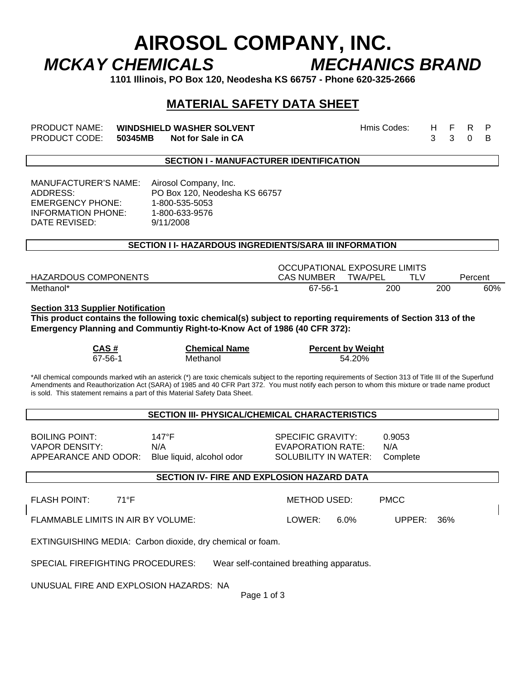# **AIROSOL COMPANY, INC.**  *MCKAY CHEMICALS MECHANICS BRAND*

**1101 Illinois, PO Box 120, Neodesha KS 66757 - Phone 620-325-2666** 

# **MATERIAL SAFETY DATA SHEET**

PRODUCT NAME: **WINDSHIELD WASHER SOLVENT** And Monitational Heather Heath Pearl Pearl Pearl Pearl Pearl Pearl Pearl Pearl Pearl Pearl Pearl Pearl Pearl Pearl Pearl Pearl Pearl Pearl Pearl Pearl Pearl Pearl Pearl Pearl Pearl PRODUCT CODE: **50345MB Not for Sale in CA 3 3 3 3 0 B** 

#### **SECTION I - MANUFACTURER IDENTIFICATION**

MANUFACTURER'S NAME: Airosol Company, Inc. EMERGENCY PHONE: 1-800-535-5053 INFORMATION PHONE: 1-800-633-9576 DATE REVISED: 9/11/2008

ADDRESS: PO Box 120, Neodesha KS 66757

# **SECTION I I- HAZARDOUS INGREDIENTS/SARA III INFORMATION**

|                             | OCCUPATIONAL EXPOSURE LIMITS |                |     |         |
|-----------------------------|------------------------------|----------------|-----|---------|
| <b>HAZARDOUS COMPONENTS</b> | <b>CAS NUMBER</b>            | <b>TWA/PEL</b> |     | Percent |
| Methanol*                   | 67-56-1                      | 200            | 200 | 60%     |

**Section 313 Supplier Notification**

**This product contains the following toxic chemical(s) subject to reporting requirements of Section 313 of the Emergency Planning and Communtiy Right-to-Know Act of 1986 (40 CFR 372):** 

 **CAS # Chemical Name Percent by Weight**

67-56-1 Methanol 54.20%

\*All chemical compounds marked wtih an asterick (\*) are toxic chemicals subject to the reporting requirements of Section 313 of Title III of the Superfund Amendments and Reauthorization Act (SARA) of 1985 and 40 CFR Part 372. You must notify each person to whom this mixture or trade name product is sold. This statement remains a part of this Material Safety Data Sheet.

#### **SECTION III- PHYSICAL/CHEMICAL CHARACTERISTICS**

| <b>BOILING POINT:</b> | 147°F                     | <b>SPECIFIC GRAVITY:</b> | 0.9053   |
|-----------------------|---------------------------|--------------------------|----------|
| VAPOR DENSITY:        | N/A                       | EVAPORATION RATE:        | N/A      |
| APPEARANCE AND ODOR:  | Blue liquid, alcohol odor | SOLUBILITY IN WATER:     | Complete |

# **SECTION IV- FIRE AND EXPLOSION HAZARD DATA**

FLAMMABLE LIMITS IN AIR BY VOLUME: LOWER: 6.0% UPPER: 36%

EXTINGUISHING MEDIA: Carbon dioxide, dry chemical or foam.

SPECIAL FIREFIGHTING PROCEDURES: Wear self-contained breathing apparatus.

UNUSUAL FIRE AND EXPLOSION HAZARDS: NA

Page 1 of 3

FLASH POINT: 71°F 71°F METHOD USED: PMCC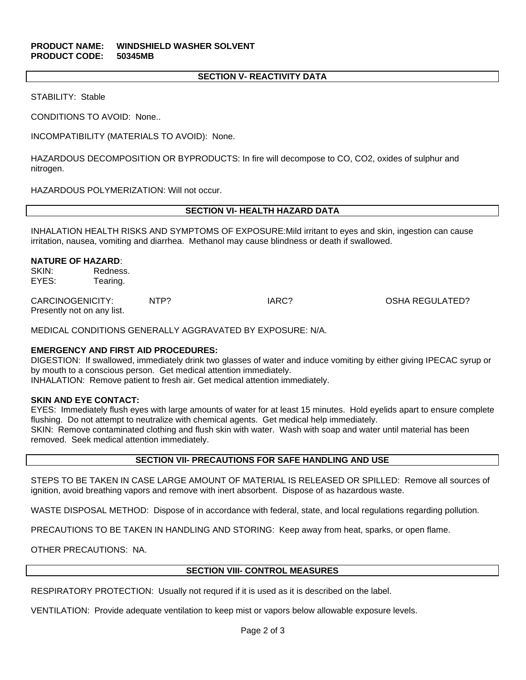# **PRODUCT NAME: WINDSHIELD WASHER SOLVENT PRODUCT CODE: 50345MB**

# **SECTION V- REACTIVITY DATA**

STABILITY: Stable

CONDITIONS TO AVOID: None..

INCOMPATIBILITY (MATERIALS TO AVOID): None.

HAZARDOUS DECOMPOSITION OR BYPRODUCTS: In fire will decompose to CO, CO2, oxides of sulphur and nitrogen.

HAZARDOUS POLYMERIZATION: Will not occur.

# **SECTION VI- HEALTH HAZARD DATA**

INHALATION HEALTH RISKS AND SYMPTOMS OF EXPOSURE:Mild irritant to eyes and skin, ingestion can cause irritation, nausea, vomiting and diarrhea. Methanol may cause blindness or death if swallowed.

#### **NATURE OF HAZARD**:

SKIN: Redness. EYES: Tearing.

CARCINOGENICITY: NTP? IARC? IARC? OSHA REGULATED? Presently not on any list.

MEDICAL CONDITIONS GENERALLY AGGRAVATED BY EXPOSURE: N/A.

#### **EMERGENCY AND FIRST AID PROCEDURES:**

DIGESTION: If swallowed, immediately drink two glasses of water and induce vomiting by either giving IPECAC syrup or by mouth to a conscious person. Get medical attention immediately. INHALATION: Remove patient to fresh air. Get medical attention immediately.

#### **SKIN AND EYE CONTACT:**

EYES: Immediately flush eyes with large amounts of water for at least 15 minutes. Hold eyelids apart to ensure complete flushing. Do not attempt to neutralize with chemical agents. Get medical help immediately. SKIN: Remove contaminated clothing and flush skin with water. Wash with soap and water until material has been removed. Seek medical attention immediately.

#### **SECTION VII- PRECAUTIONS FOR SAFE HANDLING AND USE**

STEPS TO BE TAKEN IN CASE LARGE AMOUNT OF MATERIAL IS RELEASED OR SPILLED: Remove all sources of ignition, avoid breathing vapors and remove with inert absorbent. Dispose of as hazardous waste.

WASTE DISPOSAL METHOD: Dispose of in accordance with federal, state, and local regulations regarding pollution.

PRECAUTIONS TO BE TAKEN IN HANDLING AND STORING: Keep away from heat, sparks, or open flame.

OTHER PRECAUTIONS: NA.

#### **SECTION VIII- CONTROL MEASURES**

RESPIRATORY PROTECTION: Usually not requred if it is used as it is described on the label.

VENTILATION: Provide adequate ventilation to keep mist or vapors below allowable exposure levels.